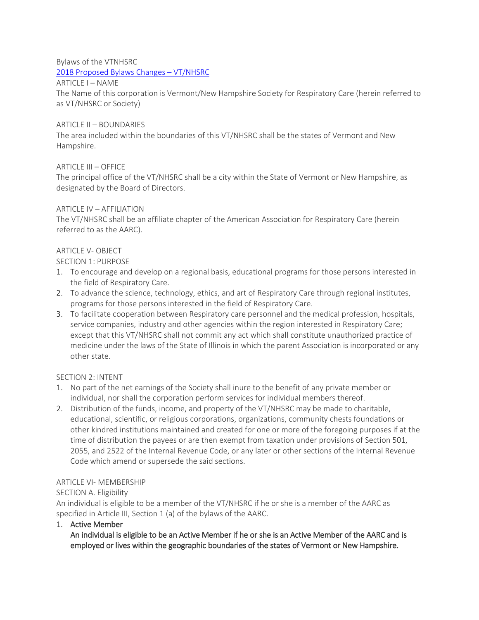Bylaws of the VTNHSRC

2018 Proposed Bylaws Changes – VT/NHSRC

ARTICLE I – NAME

The Name of this corporation is Vermont/New Hampshire Society for Respiratory Care (herein referred to as VT/NHSRC or Society)

#### ARTICLE II – BOUNDARIES

The area included within the boundaries of this VT/NHSRC shall be the states of Vermont and New Hampshire.

#### ARTICLE III – OFFICE

The principal office of the VT/NHSRC shall be a city within the State of Vermont or New Hampshire, as designated by the Board of Directors.

#### ARTICLE IV – AFFILIATION

The VT/NHSRC shall be an affiliate chapter of the American Association for Respiratory Care (herein referred to as the AARC).

#### ARTICLE V- OBJECT

SECTION 1: PURPOSE

- 1. To encourage and develop on a regional basis, educational programs for those persons interested in the field of Respiratory Care.
- 2. To advance the science, technology, ethics, and art of Respiratory Care through regional institutes, programs for those persons interested in the field of Respiratory Care.
- 3. To facilitate cooperation between Respiratory care personnel and the medical profession, hospitals, service companies, industry and other agencies within the region interested in Respiratory Care; except that this VT/NHSRC shall not commit any act which shall constitute unauthorized practice of medicine under the laws of the State of Illinois in which the parent Association is incorporated or any other state.

# SECTION 2: INTENT

- 1. No part of the net earnings of the Society shall inure to the benefit of any private member or individual, nor shall the corporation perform services for individual members thereof.
- 2. Distribution of the funds, income, and property of the VT/NHSRC may be made to charitable, educational, scientific, or religious corporations, organizations, community chests foundations or other kindred institutions maintained and created for one or more of the foregoing purposes if at the time of distribution the payees or are then exempt from taxation under provisions of Section 501, 2055, and 2522 of the Internal Revenue Code, or any later or other sections of the Internal Revenue Code which amend or supersede the said sections.

#### ARTICLE VI- MEMBERSHIP

# SECTION A. Eligibility

An individual is eligible to be a member of the VT/NHSRC if he or she is a member of the AARC as specified in Article III, Section 1 (a) of the bylaws of the AARC.

1. Active Member

An individual is eligible to be an Active Member if he or she is an Active Member of the AARC and is employed or lives within the geographic boundaries of the states of Vermont or New Hampshire.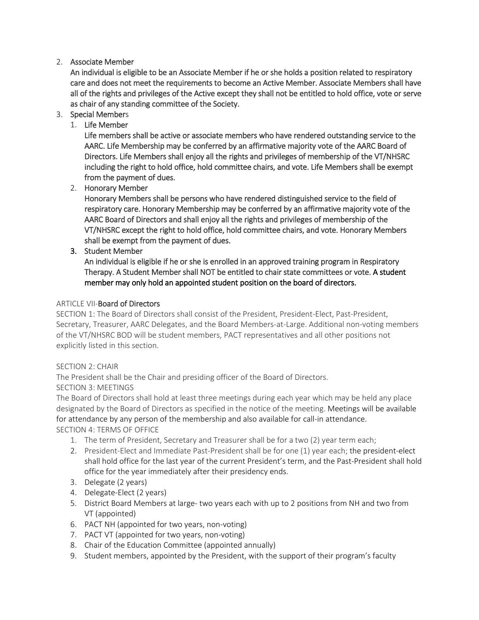# 2. Associate Member

An individual is eligible to be an Associate Member if he or she holds a position related to respiratory care and does not meet the requirements to become an Active Member. Associate Members shall have all of the rights and privileges of the Active except they shall not be entitled to hold office, vote or serve as chair of any standing committee of the Society.

- 3. Special Members
	- 1. Life Member

Life members shall be active or associate members who have rendered outstanding service to the AARC. Life Membership may be conferred by an affirmative majority vote of the AARC Board of Directors. Life Members shall enjoy all the rights and privileges of membership of the VT/NHSRC including the right to hold office, hold committee chairs, and vote. Life Members shall be exempt from the payment of dues.

2. Honorary Member

Honorary Members shall be persons who have rendered distinguished service to the field of respiratory care. Honorary Membership may be conferred by an affirmative majority vote of the AARC Board of Directors and shall enjoy all the rights and privileges of membership of the VT/NHSRC except the right to hold office, hold committee chairs, and vote. Honorary Members shall be exempt from the payment of dues.

3. Student Member

An individual is eligible if he or she is enrolled in an approved training program in Respiratory Therapy. A Student Member shall NOT be entitled to chair state committees or vote. A student member may only hold an appointed student position on the board of directors.

#### ARTICLE VII-Board of Directors

SECTION 1: The Board of Directors shall consist of the President, President-Elect, Past-President, Secretary, Treasurer, AARC Delegates, and the Board Members-at-Large. Additional non-voting members of the VT/NHSRC BOD will be student members, PACT representatives and all other positions not explicitly listed in this section.

# SECTION 2: CHAIR

The President shall be the Chair and presiding officer of the Board of Directors.

SECTION 3: MEETINGS

The Board of Directors shall hold at least three meetings during each year which may be held any place designated by the Board of Directors as specified in the notice of the meeting. Meetings will be available for attendance by any person of the membership and also available for call-in attendance.

SECTION 4: TERMS OF OFFICE

- 1. The term of President, Secretary and Treasurer shall be for a two (2) year term each;
- 2. President-Elect and Immediate Past-President shall be for one (1) year each; the president-elect shall hold office for the last year of the current President's term, and the Past-President shall hold office for the year immediately after their presidency ends.
- 3. Delegate (2 years)
- 4. Delegate-Elect (2 years)
- 5. District Board Members at large- two years each with up to 2 positions from NH and two from VT (appointed)
- 6. PACT NH (appointed for two years, non-voting)
- 7. PACT VT (appointed for two years, non-voting)
- 8. Chair of the Education Committee (appointed annually)
- 9. Student members, appointed by the President, with the support of their program's faculty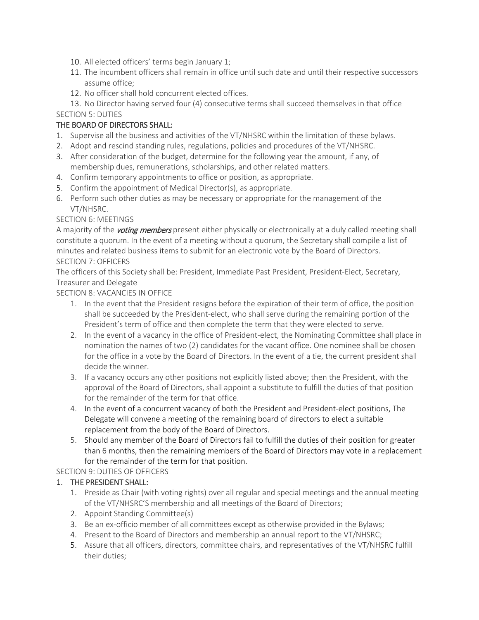- 10. All elected officers' terms begin January 1;
- 11. The incumbent officers shall remain in office until such date and until their respective successors assume office;
- 12. No officer shall hold concurrent elected offices.

13. No Director having served four (4) consecutive terms shall succeed themselves in that office SECTION 5: DUTIES

# THE BOARD OF DIRECTORS SHALL:

- 1. Supervise all the business and activities of the VT/NHSRC within the limitation of these bylaws.
- 2. Adopt and rescind standing rules, regulations, policies and procedures of the VT/NHSRC.
- 3. After consideration of the budget, determine for the following year the amount, if any, of membership dues, remunerations, scholarships, and other related matters.
- 4. Confirm temporary appointments to office or position, as appropriate.
- 5. Confirm the appointment of Medical Director(s), as appropriate.
- 6. Perform such other duties as may be necessary or appropriate for the management of the VT/NHSRC.

#### SECTION 6: MEETINGS

A majority of the *voting members* present either physically or electronically at a duly called meeting shall constitute a quorum. In the event of a meeting without a quorum, the Secretary shall compile a list of minutes and related business items to submit for an electronic vote by the Board of Directors. SECTION 7: OFFICERS

The officers of this Society shall be: President, Immediate Past President, President-Elect, Secretary, Treasurer and Delegate

# SECTION 8: VACANCIES IN OFFICE

- 1. In the event that the President resigns before the expiration of their term of office, the position shall be succeeded by the President-elect, who shall serve during the remaining portion of the President's term of office and then complete the term that they were elected to serve.
- 2. In the event of a vacancy in the office of President-elect, the Nominating Committee shall place in nomination the names of two (2) candidates for the vacant office. One nominee shall be chosen for the office in a vote by the Board of Directors. In the event of a tie, the current president shall decide the winner.
- 3. If a vacancy occurs any other positions not explicitly listed above; then the President, with the approval of the Board of Directors, shall appoint a substitute to fulfill the duties of that position for the remainder of the term for that office.
- 4. In the event of a concurrent vacancy of both the President and President-elect positions, The Delegate will convene a meeting of the remaining board of directors to elect a suitable replacement from the body of the Board of Directors.
- 5. Should any member of the Board of Directors fail to fulfill the duties of their position for greater than 6 months, then the remaining members of the Board of Directors may vote in a replacement for the remainder of the term for that position.

# SECTION 9: DUTIES OF OFFICERS

# 1. THE PRESIDENT SHALL:

- 1. Preside as Chair (with voting rights) over all regular and special meetings and the annual meeting of the VT/NHSRC'S membership and all meetings of the Board of Directors;
- 2. Appoint Standing Committee(s)
- 3. Be an ex-officio member of all committees except as otherwise provided in the Bylaws;
- 4. Present to the Board of Directors and membership an annual report to the VT/NHSRC;
- 5. Assure that all officers, directors, committee chairs, and representatives of the VT/NHSRC fulfill their duties;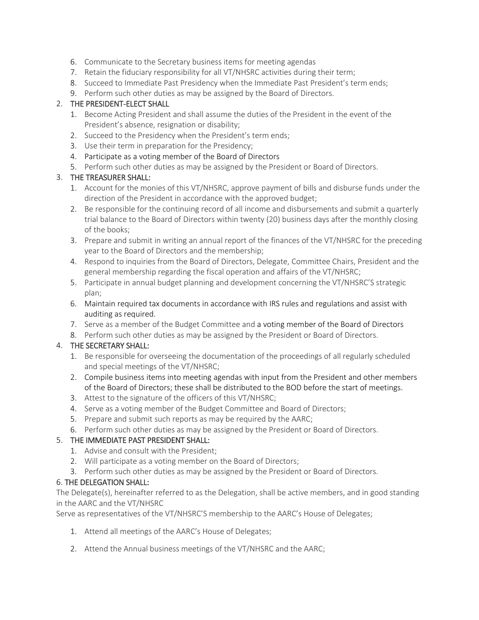- 6. Communicate to the Secretary business items for meeting agendas
- 7. Retain the fiduciary responsibility for all VT/NHSRC activities during their term;
- 8. Succeed to Immediate Past Presidency when the Immediate Past President's term ends;
- 9. Perform such other duties as may be assigned by the Board of Directors.

# 2. THE PRESIDENT-ELECT SHALL

- 1. Become Acting President and shall assume the duties of the President in the event of the President's absence, resignation or disability;
- 2. Succeed to the Presidency when the President's term ends;
- 3. Use their term in preparation for the Presidency;
- 4. Participate as a voting member of the Board of Directors
- 5. Perform such other duties as may be assigned by the President or Board of Directors.

# 3. THE TREASURER SHALL:

- 1. Account for the monies of this VT/NHSRC, approve payment of bills and disburse funds under the direction of the President in accordance with the approved budget;
- 2. Be responsible for the continuing record of all income and disbursements and submit a quarterly trial balance to the Board of Directors within twenty (20) business days after the monthly closing of the books;
- 3. Prepare and submit in writing an annual report of the finances of the VT/NHSRC for the preceding year to the Board of Directors and the membership;
- 4. Respond to inquiries from the Board of Directors, Delegate, Committee Chairs, President and the general membership regarding the fiscal operation and affairs of the VT/NHSRC;
- 5. Participate in annual budget planning and development concerning the VT/NHSRC'S strategic plan;
- 6. Maintain required tax documents in accordance with IRS rules and regulations and assist with auditing as required.
- 7. Serve as a member of the Budget Committee and a voting member of the Board of Directors
- 8. Perform such other duties as may be assigned by the President or Board of Directors.

# 4. THE SECRETARY SHALL:

- 1. Be responsible for overseeing the documentation of the proceedings of all regularly scheduled and special meetings of the VT/NHSRC;
- 2. Compile business items into meeting agendas with input from the President and other members of the Board of Directors; these shall be distributed to the BOD before the start of meetings.
- 3. Attest to the signature of the officers of this VT/NHSRC;
- 4. Serve as a voting member of the Budget Committee and Board of Directors;
- 5. Prepare and submit such reports as may be required by the AARC;
- 6. Perform such other duties as may be assigned by the President or Board of Directors.

# 5. THE IMMEDIATE PAST PRESIDENT SHALL:

- 1. Advise and consult with the President;
- 2. Will participate as a voting member on the Board of Directors;
- 3. Perform such other duties as may be assigned by the President or Board of Directors.

# 6. THE DELEGATION SHALL:

The Delegate(s), hereinafter referred to as the Delegation, shall be active members, and in good standing in the AARC and the VT/NHSRC

Serve as representatives of the VT/NHSRC'S membership to the AARC's House of Delegates;

- 1. Attend all meetings of the AARC's House of Delegates;
- 2. Attend the Annual business meetings of the VT/NHSRC and the AARC;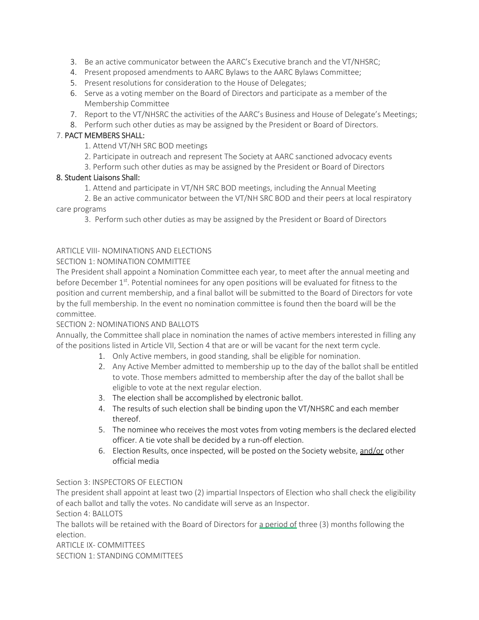- 3. Be an active communicator between the AARC's Executive branch and the VT/NHSRC;
- 4. Present proposed amendments to AARC Bylaws to the AARC Bylaws Committee;
- 5. Present resolutions for consideration to the House of Delegates;
- 6. Serve as a voting member on the Board of Directors and participate as a member of the Membership Committee
- 7. Report to the VT/NHSRC the activities of the AARC's Business and House of Delegate's Meetings;
- 8. Perform such other duties as may be assigned by the President or Board of Directors.

# 7. PACT MEMBERS SHALL:

1. Attend VT/NH SRC BOD meetings

- 2. Participate in outreach and represent The Society at AARC sanctioned advocacy events
- 3. Perform such other duties as may be assigned by the President or Board of Directors

# 8. Student Liaisons Shall:

1. Attend and participate in VT/NH SRC BOD meetings, including the Annual Meeting

2. Be an active communicator between the VT/NH SRC BOD and their peers at local respiratory care programs

3. Perform such other duties as may be assigned by the President or Board of Directors

#### ARTICLE VIII- NOMINATIONS AND FLECTIONS

#### SECTION 1: NOMINATION COMMITTEE

The President shall appoint a Nomination Committee each year, to meet after the annual meeting and before December 1<sup>st</sup>. Potential nominees for any open positions will be evaluated for fitness to the position and current membership, and a final ballot will be submitted to the Board of Directors for vote by the full membership. In the event no nomination committee is found then the board will be the committee.

#### SECTION 2: NOMINATIONS AND BALLOTS

Annually, the Committee shall place in nomination the names of active members interested in filling any of the positions listed in Article VII, Section 4 that are or will be vacant for the next term cycle.

- 1. Only Active members, in good standing, shall be eligible for nomination.
- 2. Any Active Member admitted to membership up to the day of the ballot shall be entitled to vote. Those members admitted to membership after the day of the ballot shall be eligible to vote at the next regular election.
- 3. The election shall be accomplished by electronic ballot.
- 4. The results of such election shall be binding upon the VT/NHSRC and each member thereof.
- 5. The nominee who receives the most votes from voting members is the declared elected officer. A tie vote shall be decided by a run-off election.
- 6. Election Results, once inspected, will be posted on the Society website, and/or other official media

#### Section 3: INSPECTORS OF ELECTION

The president shall appoint at least two (2) impartial Inspectors of Election who shall check the eligibility of each ballot and tally the votes. No candidate will serve as an Inspector.

Section 4: BALLOTS

The ballots will be retained with the Board of Directors for a period of three (3) months following the election.

ARTICLE IX- COMMITTEES SECTION 1: STANDING COMMITTEES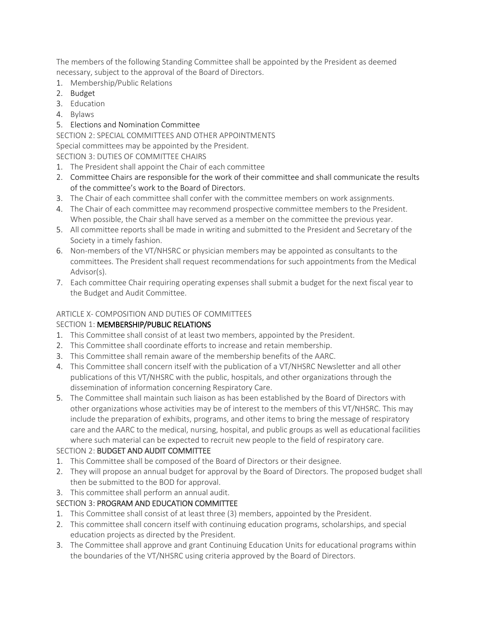The members of the following Standing Committee shall be appointed by the President as deemed necessary, subject to the approval of the Board of Directors.

- 1. Membership/Public Relations
- 2. Budget
- 3. Education
- 4. Bylaws
- 5. Elections and Nomination Committee

# SECTION 2: SPECIAL COMMITTEES AND OTHER APPOINTMENTS

Special committees may be appointed by the President.

SECTION 3: DUTIES OF COMMITTEE CHAIRS

- 1. The President shall appoint the Chair of each committee
- 2. Committee Chairs are responsible for the work of their committee and shall communicate the results of the committee's work to the Board of Directors.
- 3. The Chair of each committee shall confer with the committee members on work assignments.
- 4. The Chair of each committee may recommend prospective committee members to the President. When possible, the Chair shall have served as a member on the committee the previous year.
- 5. All committee reports shall be made in writing and submitted to the President and Secretary of the Society in a timely fashion.
- 6. Non-members of the VT/NHSRC or physician members may be appointed as consultants to the committees. The President shall request recommendations for such appointments from the Medical Advisor(s).
- 7. Each committee Chair requiring operating expenses shall submit a budget for the next fiscal year to the Budget and Audit Committee.

# ARTICLE X- COMPOSITION AND DUTIES OF COMMITTEES

# SECTION 1: MEMBERSHIP/PUBLIC RELATIONS

- 1. This Committee shall consist of at least two members, appointed by the President.
- 2. This Committee shall coordinate efforts to increase and retain membership.
- 3. This Committee shall remain aware of the membership benefits of the AARC.
- 4. This Committee shall concern itself with the publication of a VT/NHSRC Newsletter and all other publications of this VT/NHSRC with the public, hospitals, and other organizations through the dissemination of information concerning Respiratory Care.
- 5. The Committee shall maintain such liaison as has been established by the Board of Directors with other organizations whose activities may be of interest to the members of this VT/NHSRC. This may include the preparation of exhibits, programs, and other items to bring the message of respiratory care and the AARC to the medical, nursing, hospital, and public groups as well as educational facilities where such material can be expected to recruit new people to the field of respiratory care.

# SECTION 2: BUDGET AND AUDIT COMMITTEE

- 1. This Committee shall be composed of the Board of Directors or their designee.
- 2. They will propose an annual budget for approval by the Board of Directors. The proposed budget shall then be submitted to the BOD for approval.
- 3. This committee shall perform an annual audit.

# SECTION 3: PROGRAM AND EDUCATION COMMITTEE

- 1. This Committee shall consist of at least three (3) members, appointed by the President.
- 2. This committee shall concern itself with continuing education programs, scholarships, and special education projects as directed by the President.
- 3. The Committee shall approve and grant Continuing Education Units for educational programs within the boundaries of the VT/NHSRC using criteria approved by the Board of Directors.